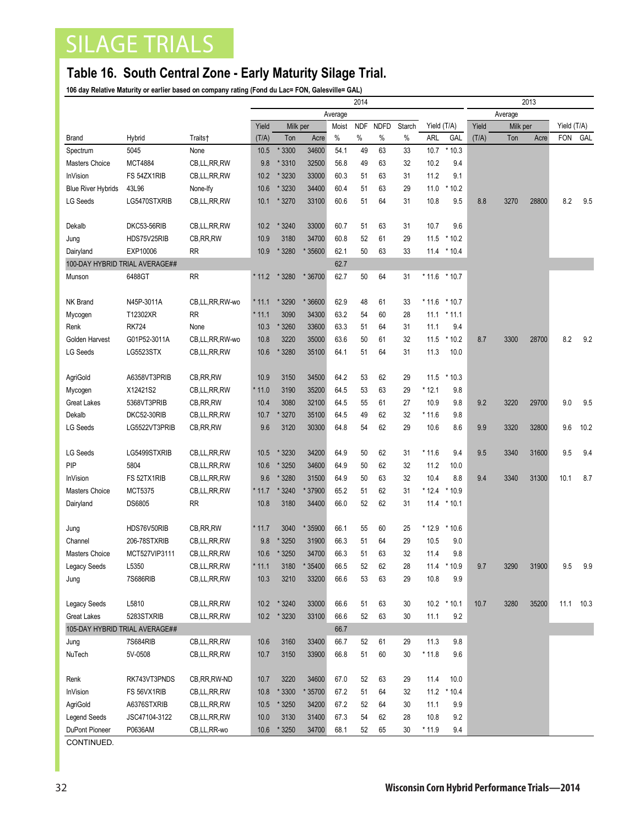## SILAGE TRIALS

## **Table 16. South Central Zone - Early Maturity Silage Trial.**

**106 day Relative Maturity or earlier based on company rating (Fond du Lac= FON, Galesville= GAL)**

|                                |                   |                            | 2014    |              |                  |       |            |             |          |                |                  | 2013             |      |          |            |             |  |
|--------------------------------|-------------------|----------------------------|---------|--------------|------------------|-------|------------|-------------|----------|----------------|------------------|------------------|------|----------|------------|-------------|--|
|                                |                   |                            | Average |              |                  |       |            |             |          |                |                  | Average<br>Yield |      |          |            |             |  |
|                                |                   |                            | Yield   | Milk per     |                  | Moist | <b>NDF</b> | <b>NDFD</b> | Starch   |                | Yield (T/A)      |                  |      | Milk per |            | Yield (T/A) |  |
| <b>Brand</b>                   | Hybrid            | Traits†                    | (T/A)   | Ton          | Acre             | $\%$  | $\%$       | $\%$        | %        | ARL            | GAL              | (T/A)            | Ton  | Acre     | <b>FON</b> | GAL         |  |
| Spectrum                       | 5045              | None                       | 10.5    | 3300         | 34600            | 54.1  | 49         | 63          | 33       | 10.7           | $*10.3$          |                  |      |          |            |             |  |
| Masters Choice                 | <b>MCT4884</b>    | CB,LL,RR,RW                | 9.8     | * 3310       | 32500            | 56.8  | 49         | 63          | 32       | 10.2           | 9.4              |                  |      |          |            |             |  |
| InVision                       | FS 54ZX1RIB       | CB,LL,RR,RW                | 10.2    | 3230         | 33000            | 60.3  | 51         | 63          | 31       | 11.2           | 9.1              |                  |      |          |            |             |  |
| <b>Blue River Hybrids</b>      | 43L96             | None-Ify                   | 10.6    | 3230         | 34400            | 60.4  | 51         | 63          | 29       | 11.0           | $^\star$<br>10.2 |                  |      |          |            |             |  |
| <b>LG Seeds</b>                | LG5470STXRIB      | CB,LL,RR,RW                | 10.1    | 3270         | 33100            | 60.6  | 51         | 64          | 31       | 10.8           | 9.5              | 8.8              | 3270 | 28800    | 8.2        | 9.5         |  |
|                                |                   |                            |         |              |                  |       |            |             |          |                |                  |                  |      |          |            |             |  |
| Dekalb                         | DKC53-56RIB       | CB,LL,RR,RW                | 10.2    | 3240         | 33000            | 60.7  | 51         | 63          | 31       | 10.7           | 9.6              |                  |      |          |            |             |  |
| Jung                           | HDS75V25RIB       | CB, RR, RW                 | 10.9    | 3180         | 34700            | 60.8  | 52         | 61          | 29       | 11.5           | $*10.2$          |                  |      |          |            |             |  |
| Dairyland                      | EXP10006          | <b>RR</b>                  | 10.9    | * 3280       | * 35600          | 62.1  | 50         | 63          | 33       | 11.4           | $*10.4$          |                  |      |          |            |             |  |
| 100-DAY HYBRID TRIAL AVERAGE## |                   |                            |         |              |                  | 62.7  |            |             |          |                |                  |                  |      |          |            |             |  |
| Munson                         | 6488GT            | <b>RR</b>                  | * 11.2  | 3280         | * 36700          | 62.7  | 50         | 64          | 31       | $*11.6$        | $*10.7$          |                  |      |          |            |             |  |
|                                |                   |                            |         |              |                  |       |            |             |          |                |                  |                  |      |          |            |             |  |
| <b>NK Brand</b>                | N45P-3011A        | CB,LL,RR,RW-wo             | * 11.1  | * 3290       | * 36600          | 62.9  | 48         | 61          | 33       | $*11.6 * 10.7$ |                  |                  |      |          |            |             |  |
| Mycogen                        | T12302XR          | <b>RR</b>                  | $*11.1$ | 3090         | 34300            | 63.2  | 54         | 60          | 28       | 11.1           | $*11.1$          |                  |      |          |            |             |  |
| Renk                           | <b>RK724</b>      | None                       | 10.3    | * 3260       | 33600            | 63.3  | 51         | 64          | 31       | 11.1           | 9.4              |                  |      |          |            |             |  |
| Golden Harvest                 | G01P52-3011A      | CB,LL,RR,RW-wo             | 10.8    | 3220         | 35000            | 63.6  | 50         | 61          | 32       | 11.5           | $*10.2$          | 8.7              | 3300 | 28700    | 8.2        | 9.2         |  |
| <b>LG Seeds</b>                | LG5523STX         | CB, LL, RR, RW             | 10.6    | 3280         | 35100            | 64.1  | 51         | 64          | 31       | 11.3           | 10.0             |                  |      |          |            |             |  |
|                                |                   |                            |         |              |                  |       |            |             |          |                |                  |                  |      |          |            |             |  |
| AgriGold                       | A6358VT3PRIB      | CB, RR, RW                 | 10.9    | 3150         | 34500            | 64.2  | 53         | 62          | 29       | 11.5           | $*10.3$          |                  |      |          |            |             |  |
| Mycogen                        | X12421S2          | CB,LL,RR,RW                | $*11.0$ | 3190         | 35200            | 64.5  | 53         | 63          | 29       | $*12.1$        | 9.8              |                  |      |          |            |             |  |
| <b>Great Lakes</b>             | 5368VT3PRIB       | CB, RR, RW                 | 10.4    | 3080         | 32100            | 64.5  | 55         | 61          | 27       | 10.9           | 9.8              | 9.2              | 3220 | 29700    | 9.0        | 9.5         |  |
| Dekalb                         | DKC52-30RIB       | CB, LL, RR, RW             | 10.7    | 3270         | 35100            | 64.5  | 49         | 62          | 32       | $*11.6$        | 9.8              |                  |      |          |            |             |  |
| <b>LG Seeds</b>                | LG5522VT3PRIB     | CB, RR, RW                 | 9.6     | 3120         | 30300            | 64.8  | 54         | 62          | 29       | 10.6           | 8.6              | 9.9              | 3320 | 32800    | 9.6        | 10.2        |  |
|                                |                   |                            |         |              |                  |       |            |             |          |                |                  |                  |      |          |            |             |  |
| <b>LG Seeds</b>                | LG5499STXRIB      | CB, LL, RR, RW             | 10.5    | * 3230       | 34200            | 64.9  | 50         | 62          | 31       | $*11.6$        | 9.4              | 9.5              | 3340 | 31600    | 9.5        | 9.4         |  |
| PIP                            | 5804              | CB, LL, RR, RW             | 10.6    | * 3250       | 34600            | 64.9  | 50         | 62          | 32       | 11.2           | 10.0             |                  |      |          |            |             |  |
| <b>InVision</b>                | FS 52TX1RIB       | CB, LL, RR, RW             | 9.6     | *3280        | 31500            | 64.9  | 50         | 63          | 32       | 10.4           | 8.8              | 9.4              | 3340 | 31300    | 10.1       | 8.7         |  |
| <b>Masters Choice</b>          | <b>MCT5375</b>    | CB,LL,RR,RW                | * 11.7  | * 3240       | * 37900          | 65.2  | 51         | 62          | 31       | $*12.4$        | $*10.9$          |                  |      |          |            |             |  |
| Dairyland                      | <b>DS6805</b>     | RR                         | 10.8    | 3180         | 34400            | 66.0  | 52         | 62          | 31       | 11.4           | $*10.1$          |                  |      |          |            |             |  |
|                                |                   |                            |         |              |                  |       |            |             |          |                |                  |                  |      |          |            |             |  |
| Jung                           | HDS76V50RIB       | CB, RR, RW                 | * 11.7  | 3040         | * 35900          | 66.1  | 55         | 60          | 25       | * 12.9         | $*10.6$          |                  |      |          |            |             |  |
| Channel                        | 206-78STXRIB      | CB, LL, RR, RW             | 9.8     | * 3250       | 31900            | 66.3  | 51         | 64          | 29       | 10.5           | 9.0              |                  |      |          |            |             |  |
| <b>Masters Choice</b>          | MCT527VIP3111     | CB,LL,RR,RW                | 10.6    | * 3250       | 34700            | 66.3  | 51         | 63          | 32       | 11.4           | 9.8              |                  |      |          |            |             |  |
| Legacy Seeds                   | L5350<br>7S686RIB | CB,LL,RR,RW<br>CB,LL,RR,RW | $*11.1$ | 3180<br>3210 | * 35400<br>33200 | 66.5  | 52<br>53   | 62<br>63    | 28<br>29 | 10.8           | 11.4 * 10.9      | 9.7              | 3290 | 31900    | 9.5        | 9.9         |  |
| Jung                           |                   |                            | 10.3    |              |                  | 66.6  |            |             |          |                | 9.9              |                  |      |          |            |             |  |
| Legacy Seeds                   | L5810             | CB,LL,RR,RW                | 10.2    | * 3240       | 33000            | 66.6  | 51         | 63          | 30       |                | $10.2 * 10.1$    | 10.7             | 3280 | 35200    | 11.1       | 10.3        |  |
| Great Lakes                    | 5283STXRIB        | CB,LL,RR,RW                | 10.2    | * 3230       | 33100            | 66.6  | 52         | 63          | 30       | 11.1           | 9.2              |                  |      |          |            |             |  |
| 105-DAY HYBRID TRIAL AVERAGE## |                   |                            |         |              |                  | 66.7  |            |             |          |                |                  |                  |      |          |            |             |  |
| Jung                           | 7S684RIB          | CB,LL,RR,RW                | 10.6    | 3160         | 33400            | 66.7  | 52         | 61          | 29       | 11.3           | 9.8              |                  |      |          |            |             |  |
| NuTech                         | 5V-0508           | CB,LL,RR,RW                | 10.7    | 3150         | 33900            | 66.8  | 51         | 60          | 30       | $*11.8$        | 9.6              |                  |      |          |            |             |  |
|                                |                   |                            |         |              |                  |       |            |             |          |                |                  |                  |      |          |            |             |  |
| Renk                           | RK743VT3PNDS      | CB, RR, RW-ND              | 10.7    | 3220         | 34600            | 67.0  | 52         | 63          | 29       | 11.4           | 10.0             |                  |      |          |            |             |  |
| InVision                       | FS 56VX1RIB       | CB,LL,RR,RW                | 10.8    | * 3300       | * 35700          | 67.2  | 51         | 64          | 32       | 11.2           | $*10.4$          |                  |      |          |            |             |  |
| AgriGold                       | A6376STXRIB       | CB,LL,RR,RW                | 10.5    | * 3250       | 34200            | 67.2  | 52         | 64          | 30       | 11.1           | 9.9              |                  |      |          |            |             |  |
| <b>Legend Seeds</b>            | JSC47104-3122     | CB,LL,RR,RW                | 10.0    | 3130         | 31400            | 67.3  | 54         | 62          | 28       | 10.8           | 9.2              |                  |      |          |            |             |  |
| DuPont Pioneer                 | P0636AM           | CB,LL,RR-wo                | 10.6    | * 3250       | 34700            | 68.1  | 52         | 65          | 30       | $*11.9$        | 9.4              |                  |      |          |            |             |  |
|                                |                   |                            |         |              |                  |       |            |             |          |                |                  |                  |      |          |            |             |  |

CONTINUED.